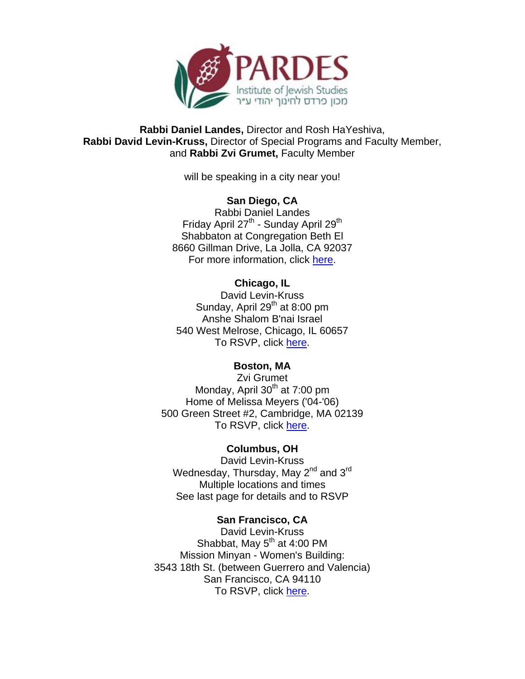

**Rabbi Daniel Landes,** Director and Rosh HaYeshiva, **Rabbi David Levin-Kruss,** Director of Special Programs and Faculty Member, and **Rabbi Zvi Grumet,** Faculty Member

will be speaking in a city near you!

#### **San Diego, CA** Rabbi Daniel Landes

Friday April 27<sup>th</sup> - Sunday April 29<sup>th</sup> Shabbaton at Congregation Beth El 8660 Gillman Drive, La Jolla, CA 92037 For more information, click [here.](https://dnbweb1.blackbaud.com/OPXREPHIL/Link.asp?link=153341)

## **Chicago, IL**

David Levin-Kruss Sunday, April  $29<sup>th</sup>$  at 8:00 pm Anshe Shalom B'nai Israel 540 West Melrose, Chicago, IL 60657 To RSVP, click [here.](https://dnbweb1.blackbaud.com/OPXREPHIL/Link.asp?link=153342) 

# **Boston, MA**

Zvi Grumet Monday, April 30<sup>th</sup> at 7:00 pm Home of Melissa Meyers ('04-'06) 500 Green Street #2, Cambridge, MA 02139 To RSVP, clic[k here.](https://dnbweb1.blackbaud.com/OPXREPHIL/Link.asp?link=153347)

# **Columbus, OH**

David Levin-Kruss Wednesday, Thursday, May 2<sup>nd</sup> and 3<sup>rd</sup> Multiple locations and times See last page for details and to RSVP

# **San Francisco, CA**

David Levin-Kruss Shabbat, May  $5<sup>th</sup>$  at 4:00 PM Mission Minyan - Women's Building: 3543 18th St. (between Guerrero and Valencia) San Francisco, CA 94110 To RSVP, click [here.](https://dnbweb1.blackbaud.com/OPXREPHIL/Link.asp?link=153343)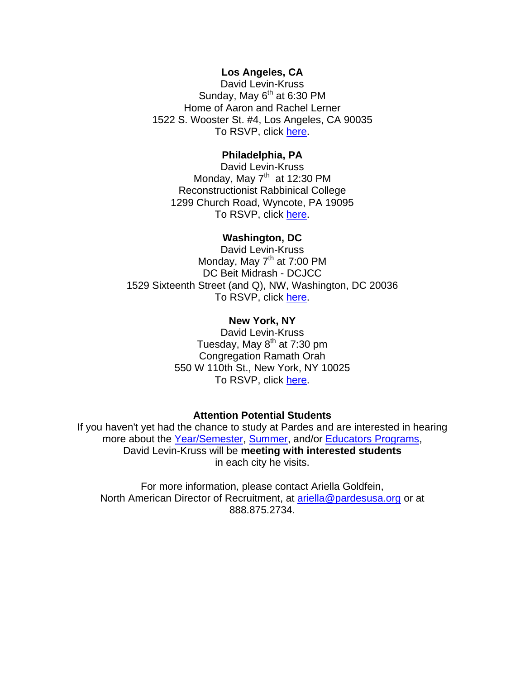## **Los Angeles, CA**

David Levin-Kruss Sunday, May  $6<sup>th</sup>$  at 6:30 PM Home of Aaron and Rachel Lerner 1522 S. Wooster St. #4, Los Angeles, CA 90035 To RSVP, click [here.](https://dnbweb1.blackbaud.com/OPXREPHIL/Link.asp?link=153344)

## **Philadelphia, PA**

David Levin-Kruss Monday, May  $7<sup>th</sup>$  at 12:30 PM Reconstructionist Rabbinical College 1299 Church Road, Wyncote, PA 19095 To RSVP, clic[k here.](https://dnbweb1.blackbaud.com/OPXREPHIL/Link.asp?link=153345) 

## **Washington, DC**

David Levin-Kruss Monday, May  $7<sup>th</sup>$  at 7:00 PM DC Beit Midrash - DCJCC 1529 Sixteenth Street (and Q), NW, Washington, DC 20036 To RSVP, clic[k here.](https://dnbweb1.blackbaud.com/OPXREPHIL/Link.asp?link=153346)

## **New York, NY**

David Levin-Kruss Tuesday, May  $8<sup>th</sup>$  at 7:30 pm Congregation Ramath Orah 550 W 110th St., New York, NY 10025 To RSVP, click here.

## **Attention Potential Students**

If you haven't yet had the chance to study at Pardes and are interested in hearing more about th[e Year/Semester,](https://dnbweb1.blackbaud.com/OPXREPHIL/Link.asp?link=153338) [Summer,](https://dnbweb1.blackbaud.com/OPXREPHIL/Link.asp?link=153339) and/or [Educators Programs,](https://dnbweb1.blackbaud.com/OPXREPHIL/Link.asp?link=153340) David Levin-Kruss will be **meeting with interested students** in each city he visits.

For more information, please contact Ariella Goldfein, North American Director of Recruitment, at ariella@pardesusa.org or at 888.875.2734.